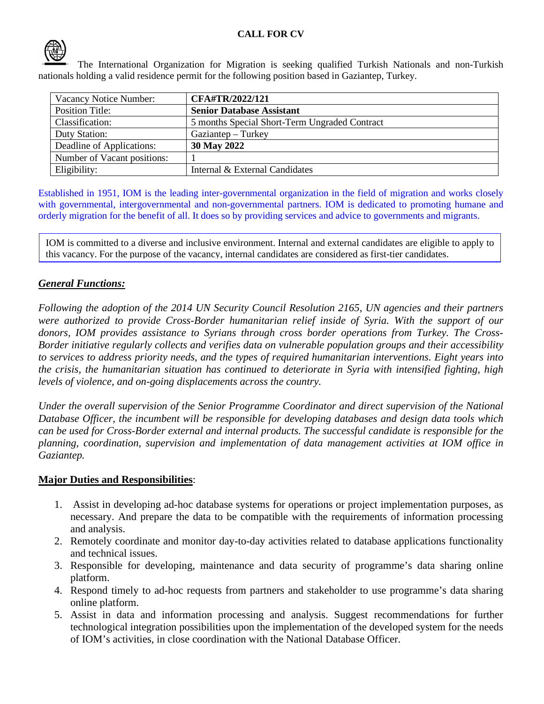

The International Organization for Migration is seeking qualified Turkish Nationals and non-Turkish nationals holding a valid residence permit for the following position based in Gaziantep, Turkey.

| Vacancy Notice Number:      | CFA#TR/2022/121                               |
|-----------------------------|-----------------------------------------------|
| <b>Position Title:</b>      | <b>Senior Database Assistant</b>              |
| Classification:             | 5 months Special Short-Term Ungraded Contract |
| Duty Station:               | Gaziantep – Turkey                            |
| Deadline of Applications:   | 30 May 2022                                   |
| Number of Vacant positions: |                                               |
| Eligibility:                | Internal & External Candidates                |

Established in 1951, IOM is the leading inter-governmental organization in the field of migration and works closely with governmental, intergovernmental and non-governmental partners. IOM is dedicated to promoting humane and orderly migration for the benefit of all. It does so by providing services and advice to governments and migrants.

IOM is committed to a diverse and inclusive environment. Internal and external candidates are eligible to apply to this vacancy. For the purpose of the vacancy, internal candidates are considered as first-tier candidates.

## *General Functions:*

*Following the adoption of the 2014 UN Security Council Resolution 2165, UN agencies and their partners were authorized to provide Cross-Border humanitarian relief inside of Syria. With the support of our donors, IOM provides assistance to Syrians through cross border operations from Turkey. The Cross-Border initiative regularly collects and verifies data on vulnerable population groups and their accessibility to services to address priority needs, and the types of required humanitarian interventions. Eight years into the crisis, the humanitarian situation has continued to deteriorate in Syria with intensified fighting, high levels of violence, and on-going displacements across the country.*

*Under the overall supervision of the Senior Programme Coordinator and direct supervision of the National Database Officer, the incumbent will be responsible for developing databases and design data tools which can be used for Cross-Border external and internal products. The successful candidate is responsible for the planning, coordination, supervision and implementation of data management activities at IOM office in Gaziantep.*

## **Major Duties and Responsibilities**:

- 1. Assist in developing ad-hoc database systems for operations or project implementation purposes, as necessary. And prepare the data to be compatible with the requirements of information processing and analysis.
- 2. Remotely coordinate and monitor day-to-day activities related to database applications functionality and technical issues.
- 3. Responsible for developing, maintenance and data security of programme's data sharing online platform.
- 4. Respond timely to ad-hoc requests from partners and stakeholder to use programme's data sharing online platform.
- 5. Assist in data and information processing and analysis. Suggest recommendations for further technological integration possibilities upon the implementation of the developed system for the needs of IOM's activities, in close coordination with the National Database Officer.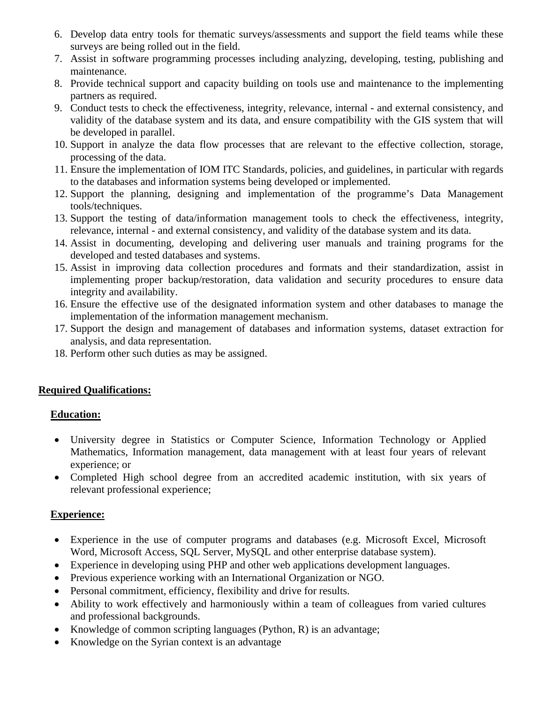- 6. Develop data entry tools for thematic surveys/assessments and support the field teams while these surveys are being rolled out in the field.
- 7. Assist in software programming processes including analyzing, developing, testing, publishing and maintenance.
- 8. Provide technical support and capacity building on tools use and maintenance to the implementing partners as required.
- 9. Conduct tests to check the effectiveness, integrity, relevance, internal and external consistency, and validity of the database system and its data, and ensure compatibility with the GIS system that will be developed in parallel.
- 10. Support in analyze the data flow processes that are relevant to the effective collection, storage, processing of the data.
- 11. Ensure the implementation of IOM ITC Standards, policies, and guidelines, in particular with regards to the databases and information systems being developed or implemented.
- 12. Support the planning, designing and implementation of the programme's Data Management tools/techniques.
- 13. Support the testing of data/information management tools to check the effectiveness, integrity, relevance, internal - and external consistency, and validity of the database system and its data.
- 14. Assist in documenting, developing and delivering user manuals and training programs for the developed and tested databases and systems.
- 15. Assist in improving data collection procedures and formats and their standardization, assist in implementing proper backup/restoration, data validation and security procedures to ensure data integrity and availability.
- 16. Ensure the effective use of the designated information system and other databases to manage the implementation of the information management mechanism.
- 17. Support the design and management of databases and information systems, dataset extraction for analysis, and data representation.
- 18. Perform other such duties as may be assigned.

## **Required Qualifications:**

## **Education:**

- University degree in Statistics or Computer Science, Information Technology or Applied Mathematics, Information management, data management with at least four years of relevant experience; or
- Completed High school degree from an accredited academic institution, with six years of relevant professional experience;

#### **Experience:**

- Experience in the use of computer programs and databases (e.g. Microsoft Excel, Microsoft Word, Microsoft Access, SQL Server, MySQL and other enterprise database system).
- Experience in developing using PHP and other web applications development languages.
- Previous experience working with an International Organization or NGO.
- Personal commitment, efficiency, flexibility and drive for results.
- Ability to work effectively and harmoniously within a team of colleagues from varied cultures and professional backgrounds.
- Knowledge of common scripting languages (Python, R) is an advantage;
- Knowledge on the Syrian context is an advantage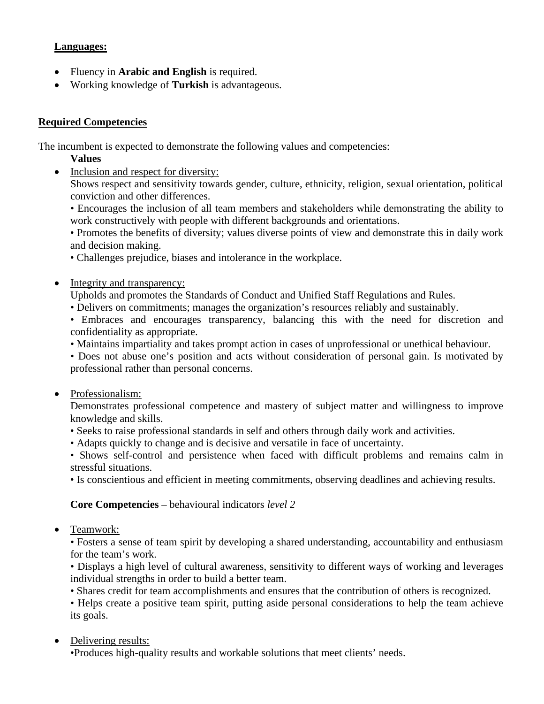## **Languages:**

- Fluency in **Arabic and English** is required.
- Working knowledge of **Turkish** is advantageous.

## **Required Competencies**

The incumbent is expected to demonstrate the following values and competencies:

- **Values**
- Inclusion and respect for diversity:

Shows respect and sensitivity towards gender, culture, ethnicity, religion, sexual orientation, political conviction and other differences.

• Encourages the inclusion of all team members and stakeholders while demonstrating the ability to work constructively with people with different backgrounds and orientations.

• Promotes the benefits of diversity; values diverse points of view and demonstrate this in daily work and decision making.

• Challenges prejudice, biases and intolerance in the workplace.

• Integrity and transparency:

Upholds and promotes the Standards of Conduct and Unified Staff Regulations and Rules.

• Delivers on commitments; manages the organization's resources reliably and sustainably.

• Embraces and encourages transparency, balancing this with the need for discretion and confidentiality as appropriate.

• Maintains impartiality and takes prompt action in cases of unprofessional or unethical behaviour.

• Does not abuse one's position and acts without consideration of personal gain. Is motivated by professional rather than personal concerns.

• Professionalism:

Demonstrates professional competence and mastery of subject matter and willingness to improve knowledge and skills.

- Seeks to raise professional standards in self and others through daily work and activities.
- Adapts quickly to change and is decisive and versatile in face of uncertainty.

• Shows self-control and persistence when faced with difficult problems and remains calm in stressful situations.

• Is conscientious and efficient in meeting commitments, observing deadlines and achieving results.

## **Core Competencies** – behavioural indicators *level 2*

• Teamwork:

• Fosters a sense of team spirit by developing a shared understanding, accountability and enthusiasm for the team's work.

• Displays a high level of cultural awareness, sensitivity to different ways of working and leverages individual strengths in order to build a better team.

• Shares credit for team accomplishments and ensures that the contribution of others is recognized.

• Helps create a positive team spirit, putting aside personal considerations to help the team achieve its goals.

• Delivering results:

•Produces high-quality results and workable solutions that meet clients' needs.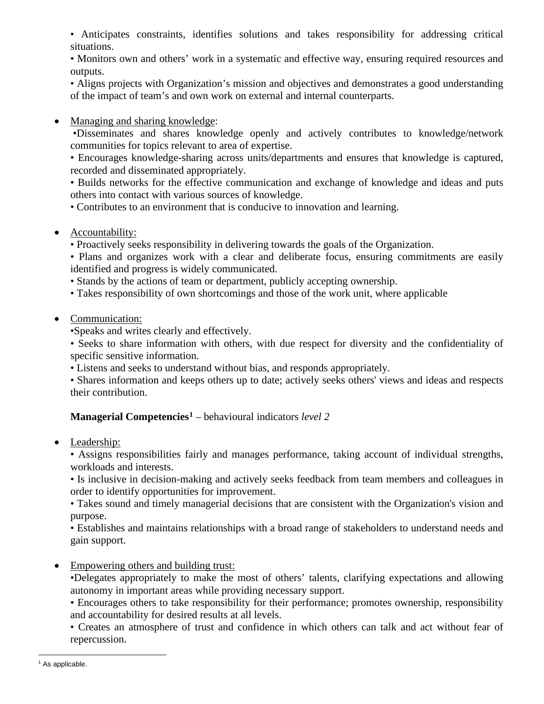• Anticipates constraints, identifies solutions and takes responsibility for addressing critical situations.

• Monitors own and others' work in a systematic and effective way, ensuring required resources and outputs.

• Aligns projects with Organization's mission and objectives and demonstrates a good understanding of the impact of team's and own work on external and internal counterparts.

• Managing and sharing knowledge:

•Disseminates and shares knowledge openly and actively contributes to knowledge/network communities for topics relevant to area of expertise.

• Encourages knowledge-sharing across units/departments and ensures that knowledge is captured, recorded and disseminated appropriately.

• Builds networks for the effective communication and exchange of knowledge and ideas and puts others into contact with various sources of knowledge.

• Contributes to an environment that is conducive to innovation and learning.

• Accountability:

• Proactively seeks responsibility in delivering towards the goals of the Organization.

• Plans and organizes work with a clear and deliberate focus, ensuring commitments are easily identified and progress is widely communicated.

• Stands by the actions of team or department, publicly accepting ownership.

- Takes responsibility of own shortcomings and those of the work unit, where applicable
- Communication:

•Speaks and writes clearly and effectively.

• Seeks to share information with others, with due respect for diversity and the confidentiality of specific sensitive information.

• Listens and seeks to understand without bias, and responds appropriately.

• Shares information and keeps others up to date; actively seeks others' views and ideas and respects their contribution.

# **Managerial Competencies[1](#page-3-0)** – behavioural indicators *level 2*

• Leadership:

• Assigns responsibilities fairly and manages performance, taking account of individual strengths, workloads and interests.

• Is inclusive in decision-making and actively seeks feedback from team members and colleagues in order to identify opportunities for improvement.

• Takes sound and timely managerial decisions that are consistent with the Organization's vision and purpose.

• Establishes and maintains relationships with a broad range of stakeholders to understand needs and gain support.

• Empowering others and building trust:

•Delegates appropriately to make the most of others' talents, clarifying expectations and allowing autonomy in important areas while providing necessary support.

• Encourages others to take responsibility for their performance; promotes ownership, responsibility and accountability for desired results at all levels.

• Creates an atmosphere of trust and confidence in which others can talk and act without fear of repercussion.

<span id="page-3-0"></span><sup>&</sup>lt;sup>1</sup> As applicable.